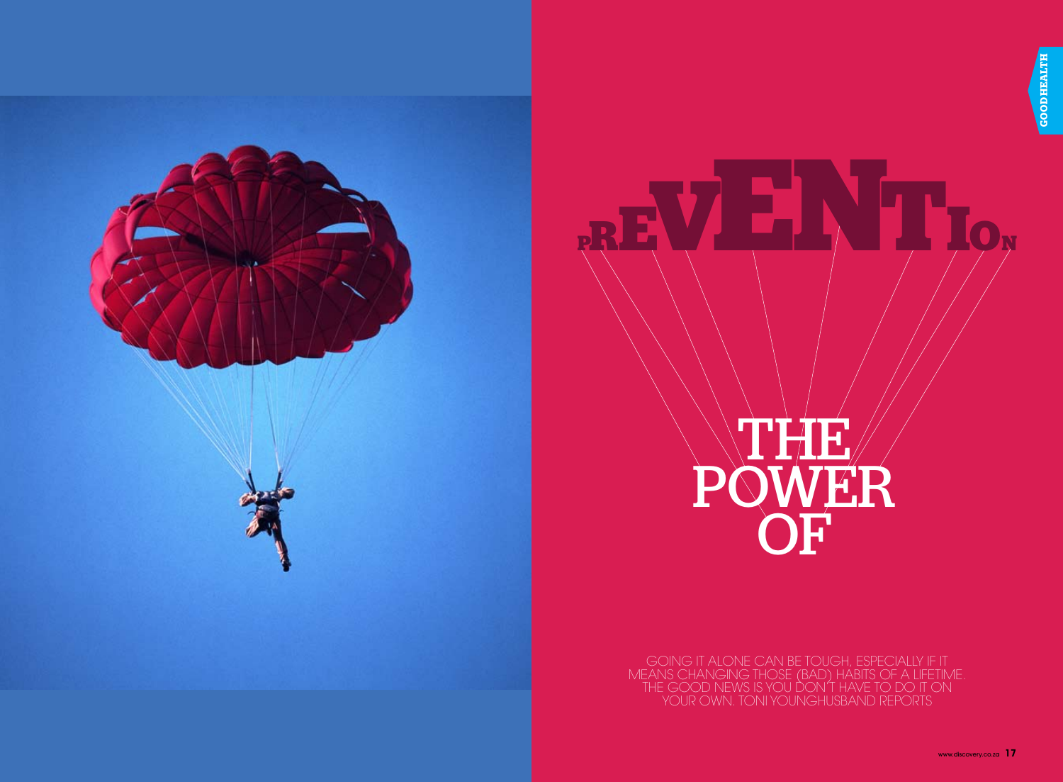

# the second second second second second second second second second second second second second second second s SR OF

**prevention**

Going it alone can be tough, especially if it means changing those (bad) habits of a lifetime. The good news is you don't have to do it on your own. Toni Younghusband reports

www.discovery.co.za **17**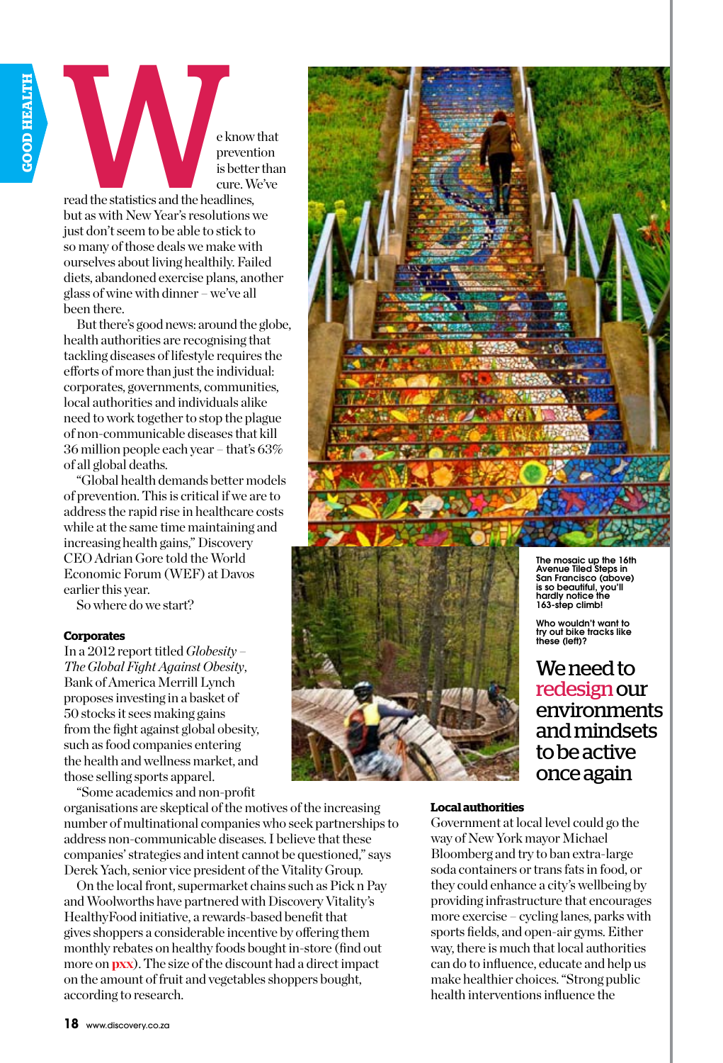

but as with New Year's resolutions we just don't seem to be able to stick to so many of those deals we make with ourselves about living healthily. Failed diets, abandoned exercise plans, another glass of wine with dinner – we've all been there.

But there's good news: around the globe, health authorities are recognising that tackling diseases of lifestyle requires the efforts of more than just the individual: corporates, governments, communities, local authorities and individuals alike need to work together to stop the plague of non-communicable diseases that kill 36 million people each year – that's 63% of all global deaths.

"Global health demands better models of prevention. This is critical if we are to address the rapid rise in healthcare costs while at the same time maintaining and increasing health gains," Discovery CEO Adrian Gore told the World Economic Forum (WEF) at Davos earlier this year.

So where do we start?

# **Corporates**

In a 2012 report titled *Globesity – The Global Fight Against Obesity*, Bank of America Merrill Lynch proposes investing in a basket of 50 stocks it sees making gains from the fight against global obesity, such as food companies entering the health and wellness market, and those selling sports apparel.

"Some academics and non-profit

organisations are skeptical of the motives of the increasing number of multinational companies who seek partnerships to address non-communicable diseases. I believe that these companies' strategies and intent cannot be questioned," says Derek Yach, senior vice president of the Vitality Group.

On the local front, supermarket chains such as Pick n Pay and Woolworths have partnered with Discovery Vitality's HealthyFood initiative, a rewards-based benefit that gives shoppers a considerable incentive by offering them monthly rebates on healthy foods bought in-store (find out more on **pxx**). The size of the discount had a direct impact on the amount of fruit and vegetables shoppers bought, according to research.





is so beautiful, you'll hardly notice the 163-step climb! Who wouldn't want to try out bike tracks like these (left)?

We need to redesign our environments and mindsets to be active once again

# **Local authorities**

Government at local level could go the way of New York mayor Michael Bloomberg and try to ban extra-large soda containers or trans fats in food, or they could enhance a city's wellbeing by providing infrastructure that encourages more exercise – cycling lanes, parks with sports fields, and open-air gyms. Either way, there is much that local authorities can do to influence, educate and help us make healthier choices. "Strong public health interventions influence the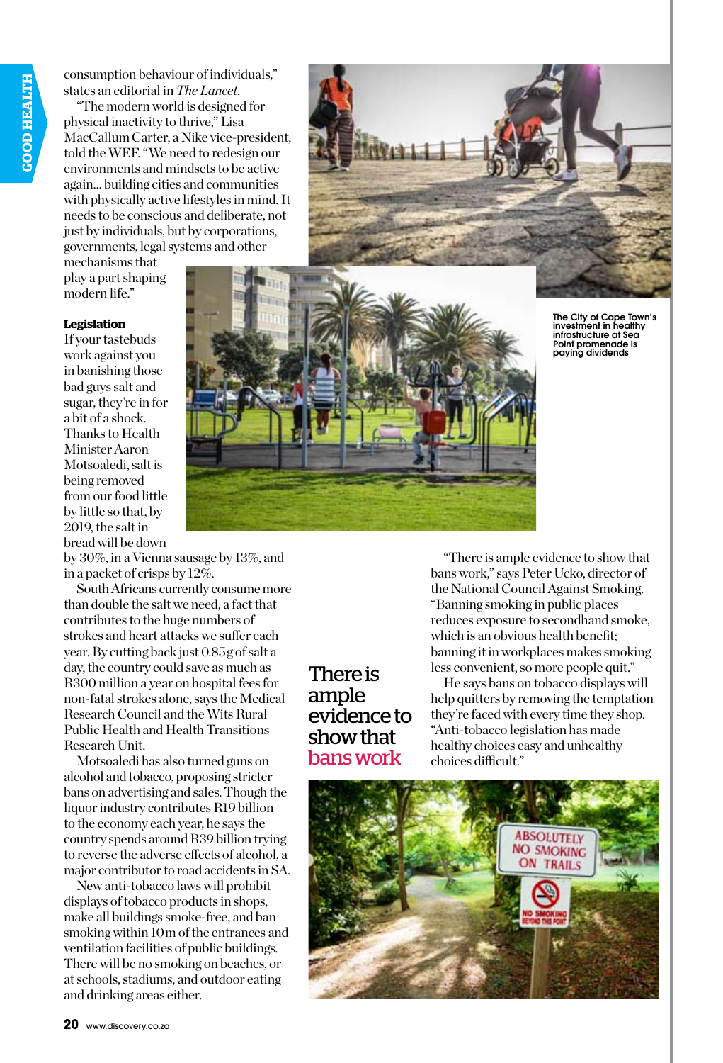consumption behaviour of individuals," states an editorial in *The Lancet*.

"The modern world is designed for physical inactivity to thrive," Lisa MacCallum Carter, a Nike vice-president, told the WEF. "We need to redesign our environments and mindsets to be active again… building cities and communities with physically active lifestyles in mind. It needs to be conscious and deliberate, not just by individuals, but by corporations, governments, legal systems and other



mechanisms that play a part shaping modern life."

# **Legislation**

If your tastebuds work against you in banishing those bad guys salt and sugar, they're in for a bit of a shock. Thanks to Health Minister Aaron Motsoaledi, salt is being removed from our food little by little so that, by 2019, the salt in bread will be down

by 30%, in a Vienna sausage by 13%, and in a packet of crisps by 12%.

South Africans currently consume more than double the salt we need, a fact that contributes to the huge numbers of strokes and heart attacks we suffer each year. By cutting back just 0.85 g of salt a day, the country could save as much as R300 million a year on hospital fees for non-fatal strokes alone, says the Medical Research Council and the Wits Rural Public Health and Health Transitions Research Unit.

Motsoaledi has also turned guns on alcohol and tobacco, proposing stricter bans on advertising and sales. Though the liquor industry contributes R19 billion to the economy each year, he says the country spends around R39 billion trying to reverse the adverse effects of alcohol, a major contributor to road accidents in SA.

New anti-tobacco laws will prohibit displays of tobacco products in shops, make all buildings smoke-free, and ban smoking within 10m of the entrances and ventilation facilities of public buildings. There will be no smoking on beaches, or at schools, stadiums, and outdoor eating and drinking areas either.



The City of Cape Town's investment in healthy infrastructure at Sea Point promenade is paying dividends

There is ample evidence to show that bans work

"There is ample evidence to show that bans work," says Peter Ucko, director of the National Council Against Smoking. "Banning smoking in public places reduces exposure to secondhand smoke, which is an obvious health benefit; banning it in workplaces makes smoking less convenient, so more people quit."

He says bans on tobacco displays will help quitters by removing the temptation they're faced with every time they shop. "Anti-tobacco legislation has made healthy choices easy and unhealthy choices difficult."